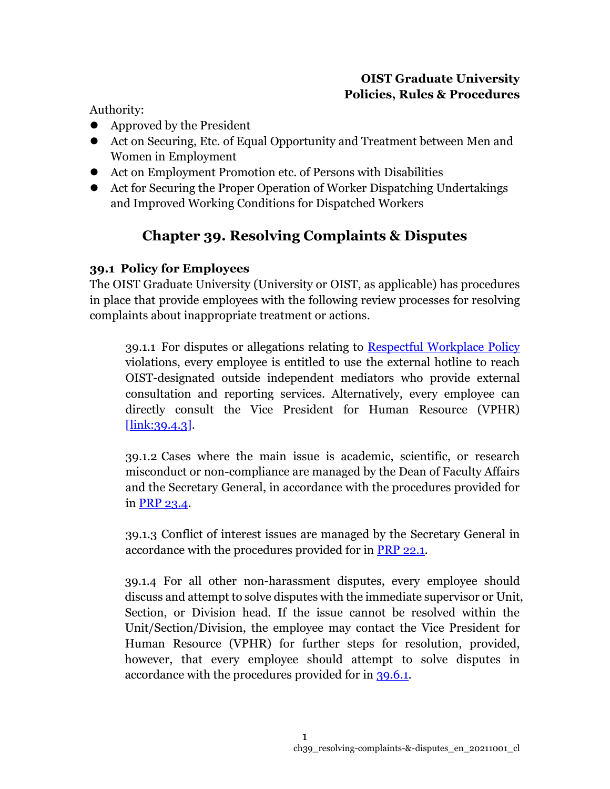# **OIST Graduate University Policies, Rules & Procedures**

Authority:

- Approved by the President
- Act on Securing, Etc. of Equal Opportunity and Treatment between Men and Women in Employment
- ⚫ Act on Employment Promotion etc. of Persons with Disabilities
- ⚫ Act for Securing the Proper Operation of Worker Dispatching Undertakings and Improved Working Conditions for Dispatched Workers

# **Chapter 39. Resolving Complaints & Disputes**

# **39.1 Policy for Employees**

The OIST Graduate University (University or OIST, as applicable) has procedures in place that provide employees with the following review processes for resolving complaints about inappropriate treatment or actions.

39.1.1 For disputes or allegations relating to [Respectful Workplace Policy](https://www.oist.jp/policy-library/1.3.2) violations, every employee is entitled to use the external hotline to reach OIST-designated outside independent mediators who provide external consultation and reporting services. Alternatively, every employee can directly consult the Vice President for Human Resource (VPHR) [\[link:39.4.3\]](https://www.oist.jp/policy-library/39.4.3).

39.1.2 Cases where the main issue is academic, scientific, or research misconduct or non-compliance are managed by the Dean of Faculty Affairs and the Secretary General, in accordance with the procedures provided for in [PRP 23.4.](https://www.oist.jp/policy-library/23.4)

39.1.3 Conflict of interest issues are managed by the Secretary General in accordance with the procedures provided for in [PRP 22.1.](https://www.oist.jp/policy-library/22.1)

39.1.4 For all other non-harassment disputes, every employee should discuss and attempt to solve disputes with the immediate supervisor or Unit, Section, or Division head. If the issue cannot be resolved within the Unit/Section/Division, the employee may contact the Vice President for Human Resource (VPHR) for further steps for resolution, provided, however, that every employee should attempt to solve disputes in accordance with the procedures provided for in [39.6.1.](https://www.oist.jp/policy-library/39.6.1)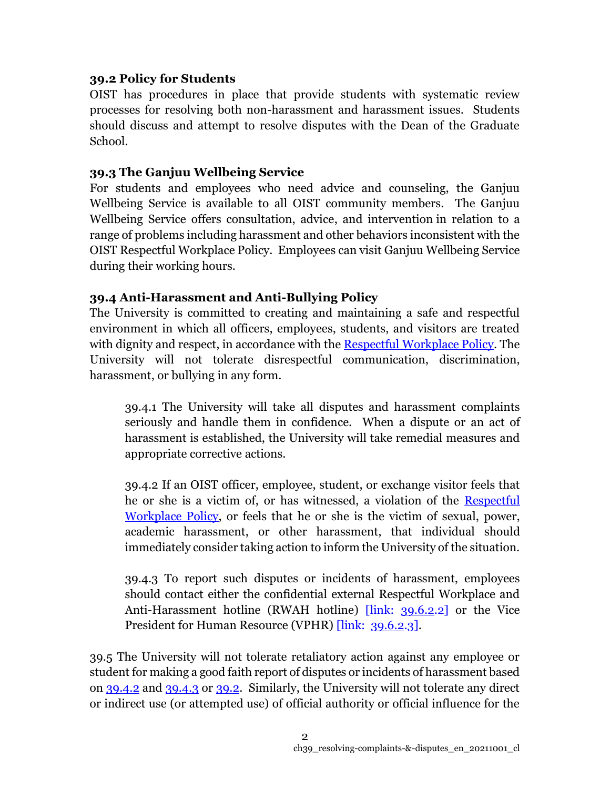# **39.2 Policy for Students**

OIST has procedures in place that provide students with systematic review processes for resolving both non-harassment and harassment issues. Students should discuss and attempt to resolve disputes with the Dean of the Graduate School.

# **39.3 The Ganjuu Wellbeing Service**

For students and employees who need advice and counseling, the Ganjuu Wellbeing Service is available to all OIST community members. The Ganjuu Wellbeing Service offers consultation, advice, and intervention in relation to a range of problems including harassment and other behaviors inconsistent with the OIST Respectful Workplace Policy. Employees can visit Ganjuu Wellbeing Service during their working hours.

# **39.4 Anti-Harassment and Anti-Bullying Policy**

The University is committed to creating and maintaining a safe and respectful environment in which all officers, employees, students, and visitors are treated with dignity and respect, in accordance with the [Respectful Workplace Policy.](https://www.oist.jp/policy-library/1.3.2) The University will not tolerate disrespectful communication, discrimination, harassment, or bullying in any form.

39.4.1 The University will take all disputes and harassment complaints seriously and handle them in confidence. When a dispute or an act of harassment is established, the University will take remedial measures and appropriate corrective actions.

39.4.2 If an OIST officer, employee, student, or exchange visitor feels that he or she is a victim of, or has witnessed, a violation of the [Respectful](https://www.oist.jp/policy-library/1.3.2)  [Workplace Policy,](https://www.oist.jp/policy-library/1.3.2) or feels that he or she is the victim of sexual, power, academic harassment, or other harassment, that individual should immediately consider taking action to inform the University of the situation.

39.4.3 To report such disputes or incidents of harassment, employees should contact either the confidential external Respectful Workplace and Anti-Harassment hotline (RWAH hotline) [link: [39.6.2.](https://www.oist.jp/policy-library/39.6.2)2] or the Vice President for Human Resource (VPHR) *[link: [39.6.2.](https://www.oist.jp/policy-library/39.6.2)3]*.

39.5 The University will not tolerate retaliatory action against any employee or student for making a good faith report of disputes or incidents of harassment based on [39.4.2](https://www.oist.jp/policy-library/39.4.2) and [39.4.3](https://www.oist.jp/policy-library/39.4.3) or [39.2.](https://www.oist.jp/policy-library/39.2) Similarly, the University will not tolerate any direct or indirect use (or attempted use) of official authority or official influence for the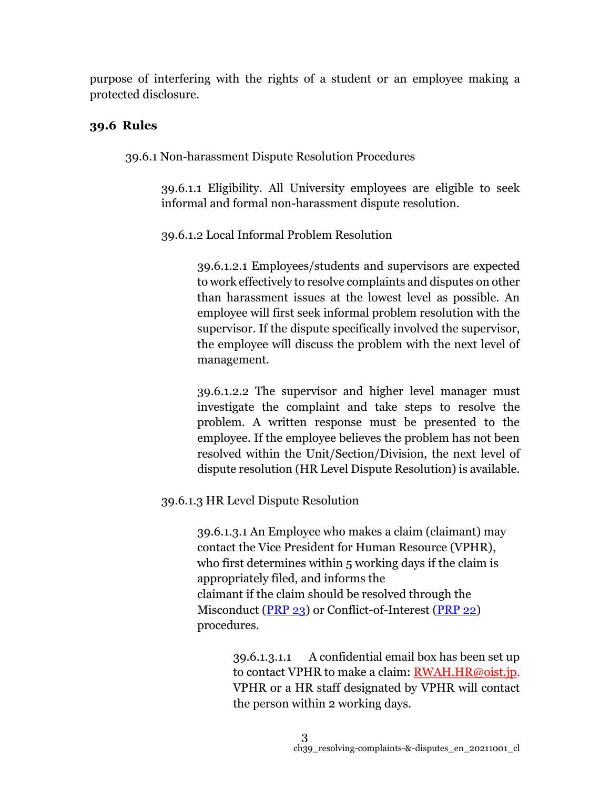purpose of interfering with the rights of a student or an employee making a protected disclosure.

# **39.6 Rules**

39.6.1 Non-harassment Dispute Resolution Procedures

39.6.1.1 Eligibility. All University employees are eligible to seek informal and formal non-harassment dispute resolution.

39.6.1.2 Local Informal Problem Resolution

39.6.1.2.1 Employees/students and supervisors are expected to work effectively to resolve complaints and disputes on other than harassment issues at the lowest level as possible. An employee will first seek informal problem resolution with the supervisor. If the dispute specifically involved the supervisor, the employee will discuss the problem with the next level of management.

39.6.1.2.2 The supervisor and higher level manager must investigate the complaint and take steps to resolve the problem. A written response must be presented to the employee. If the employee believes the problem has not been resolved within the Unit/Section/Division, the next level of dispute resolution (HR Level Dispute Resolution) is available.

39.6.1.3 HR Level Dispute Resolution

39.6.1.3.1 An Employee who makes a claim (claimant) may contact the Vice President for Human Resource (VPHR), who first determines within 5 working days if the claim is appropriately filed, and informs the claimant if the claim should be resolved through the Misconduct [\(PRP 23\)](https://www.oist.jp/policy-library/23) or Conflict-of-Interest [\(PRP 22\)](https://www.oist.jp/policy-library/22) procedures.

> 39.6.1.3.1.1 A confidential email box has been set up to contact VPHR to make a claim: [RWAH.HR@oist.jp.](mailto:RWAH.HR@oist.jp) VPHR or a HR staff designated by VPHR will contact the person within 2 working days.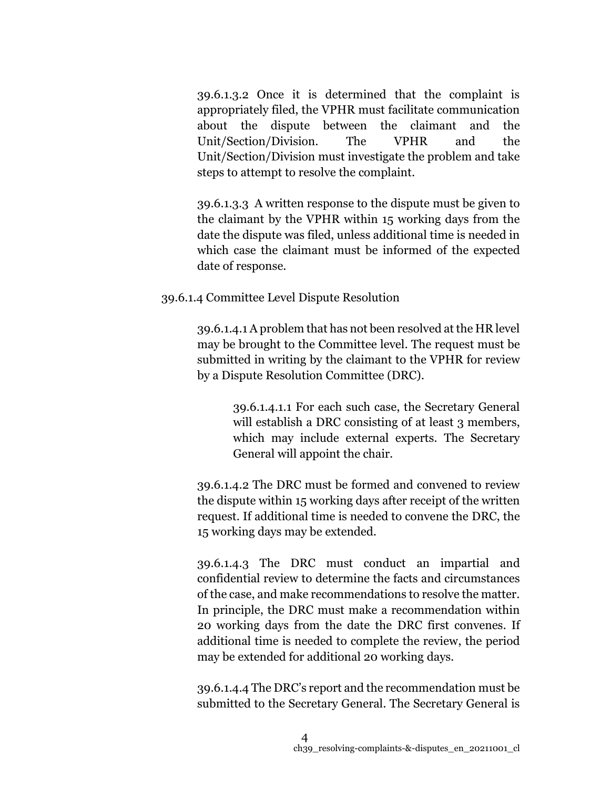39.6.1.3.2 Once it is determined that the complaint is appropriately filed, the VPHR must facilitate communication about the dispute between the claimant and the Unit/Section/Division. The VPHR and the Unit/Section/Division must investigate the problem and take steps to attempt to resolve the complaint.

39.6.1.3.3 A written response to the dispute must be given to the claimant by the VPHR within 15 working days from the date the dispute was filed, unless additional time is needed in which case the claimant must be informed of the expected date of response.

## 39.6.1.4 Committee Level Dispute Resolution

39.6.1.4.1 A problem that has not been resolved at the HR level may be brought to the Committee level. The request must be submitted in writing by the claimant to the VPHR for review by a Dispute Resolution Committee (DRC).

> 39.6.1.4.1.1 For each such case, the Secretary General will establish a DRC consisting of at least 3 members, which may include external experts. The Secretary General will appoint the chair.

39.6.1.4.2 The DRC must be formed and convened to review the dispute within 15 working days after receipt of the written request. If additional time is needed to convene the DRC, the 15 working days may be extended.

39.6.1.4.3 The DRC must conduct an impartial and confidential review to determine the facts and circumstances of the case, and make recommendations to resolve the matter. In principle, the DRC must make a recommendation within 20 working days from the date the DRC first convenes. If additional time is needed to complete the review, the period may be extended for additional 20 working days.

39.6.1.4.4 The DRC's report and the recommendation must be submitted to the Secretary General. The Secretary General is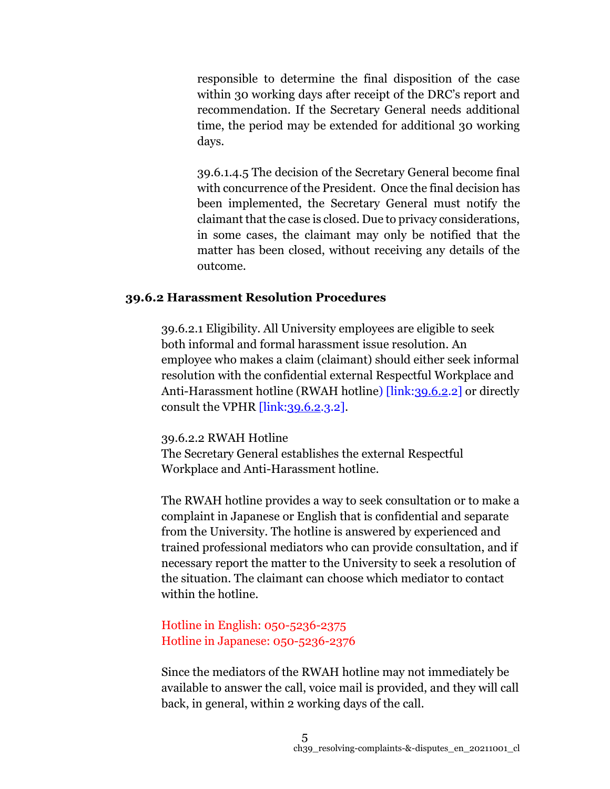responsible to determine the final disposition of the case within 30 working days after receipt of the DRC's report and recommendation. If the Secretary General needs additional time, the period may be extended for additional 30 working days.

39.6.1.4.5 The decision of the Secretary General become final with concurrence of the President. Once the final decision has been implemented, the Secretary General must notify the claimant that the case is closed. Due to privacy considerations, in some cases, the claimant may only be notified that the matter has been closed, without receiving any details of the outcome.

#### **39.6.2 Harassment Resolution Procedures**

39.6.2.1 Eligibility. All University employees are eligible to seek both informal and formal harassment issue resolution. An employee who makes a claim (claimant) should either seek informal resolution with the confidential external Respectful Workplace and Anti-Harassment hotline (RWAH hotline) [link[:39.6.2.](https://www.oist.jp/policy-library/39.6.2)2] or directly consult the VPHR [link[:39.6.2.](https://www.oist.jp/policy-library/39.6.2)3.2].

#### 39.6.2.2 RWAH Hotline

The Secretary General establishes the external Respectful Workplace and Anti-Harassment hotline.

The RWAH hotline provides a way to seek consultation or to make a complaint in Japanese or English that is confidential and separate from the University. The hotline is answered by experienced and trained professional mediators who can provide consultation, and if necessary report the matter to the University to seek a resolution of the situation. The claimant can choose which mediator to contact within the hotline.

# Hotline in English: 050-5236-2375 Hotline in Japanese: 050-5236-2376

Since the mediators of the RWAH hotline may not immediately be available to answer the call, voice mail is provided, and they will call back, in general, within 2 working days of the call.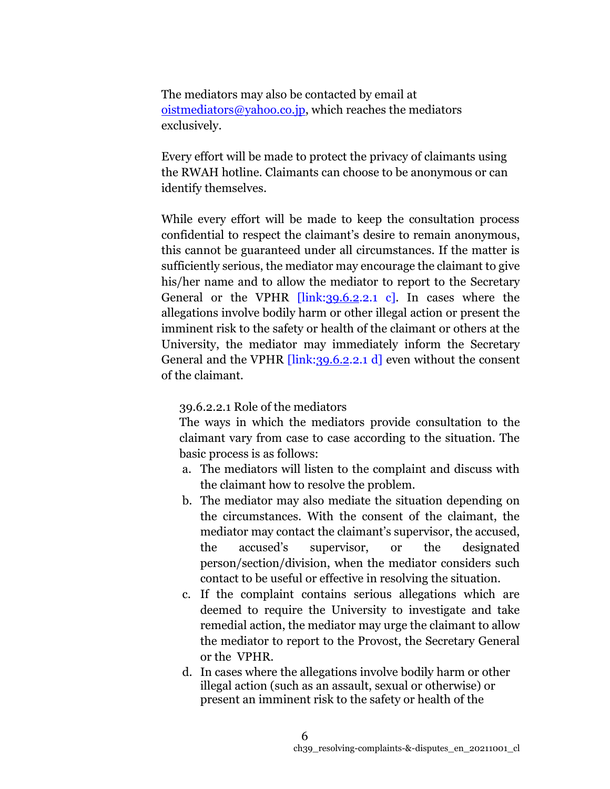The mediators may also be contacted by email at [oistmediators@yahoo.co.jp,](file:///C:/Users/RYOKO-NAKAMA/Downloads/oistmediators@yahoo.co.jp) which reaches the mediators exclusively.

Every effort will be made to protect the privacy of claimants using the RWAH hotline. Claimants can choose to be anonymous or can identify themselves.

While every effort will be made to keep the consultation process confidential to respect the claimant's desire to remain anonymous, this cannot be guaranteed under all circumstances. If the matter is sufficiently serious, the mediator may encourage the claimant to give his/her name and to allow the mediator to report to the Secretary General or the VPHR  $\left[\frac{\text{link}}{39.6.2.2.1} \text{ c}\right]$ . In cases where the allegations involve bodily harm or other illegal action or present the imminent risk to the safety or health of the claimant or others at the University, the mediator may immediately inform the Secretary General and the VPHR *[link[:39.6.2.](https://www.oist.jp/policy-library/39.6.2)2.1 d]* even without the consent of the claimant.

#### 39.6.2.2.1 Role of the mediators

The ways in which the mediators provide consultation to the claimant vary from case to case according to the situation. The basic process is as follows:

- a. The mediators will listen to the complaint and discuss with the claimant how to resolve the problem.
- b. The mediator may also mediate the situation depending on the circumstances. With the consent of the claimant, the mediator may contact the claimant's supervisor, the accused, the accused's supervisor, or the designated person/section/division, when the mediator considers such contact to be useful or effective in resolving the situation.
- c. If the complaint contains serious allegations which are deemed to require the University to investigate and take remedial action, the mediator may urge the claimant to allow the mediator to report to the Provost, the Secretary General or the VPHR.
- d. In cases where the allegations involve bodily harm or other illegal action (such as an assault, sexual or otherwise) or present an imminent risk to the safety or health of the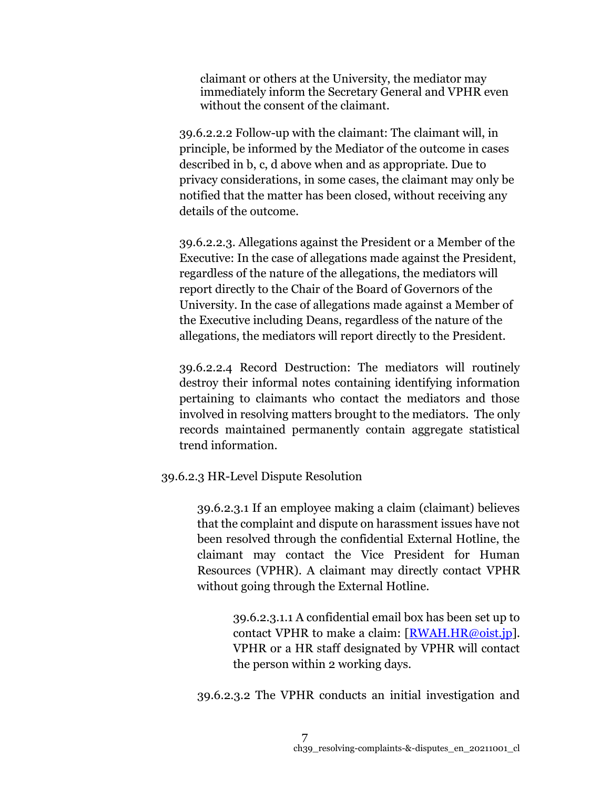claimant or others at the University, the mediator may immediately inform the Secretary General and VPHR even without the consent of the claimant.

39.6.2.2.2 Follow-up with the claimant: The claimant will, in principle, be informed by the Mediator of the outcome in cases described in b, c, d above when and as appropriate. Due to privacy considerations, in some cases, the claimant may only be notified that the matter has been closed, without receiving any details of the outcome.

39.6.2.2.3. Allegations against the President or a Member of the Executive: In the case of allegations made against the President, regardless of the nature of the allegations, the mediators will report directly to the Chair of the Board of Governors of the University. In the case of allegations made against a Member of the Executive including Deans, regardless of the nature of the allegations, the mediators will report directly to the President.

39.6.2.2.4 Record Destruction: The mediators will routinely destroy their informal notes containing identifying information pertaining to claimants who contact the mediators and those involved in resolving matters brought to the mediators. The only records maintained permanently contain aggregate statistical trend information.

#### 39.6.2.3 HR-Level Dispute Resolution

39.6.2.3.1 If an employee making a claim (claimant) believes that the complaint and dispute on harassment issues have not been resolved through the confidential External Hotline, the claimant may contact the Vice President for Human Resources (VPHR). A claimant may directly contact VPHR without going through the External Hotline.

> 39.6.2.3.1.1 A confidential email box has been set up to contact VPHR to make a claim:  $\sqrt{RWAH.HR\omega_{\text{o}}\text{ist}}$ . VPHR or a HR staff designated by VPHR will contact the person within 2 working days.

39.6.2.3.2 The VPHR conducts an initial investigation and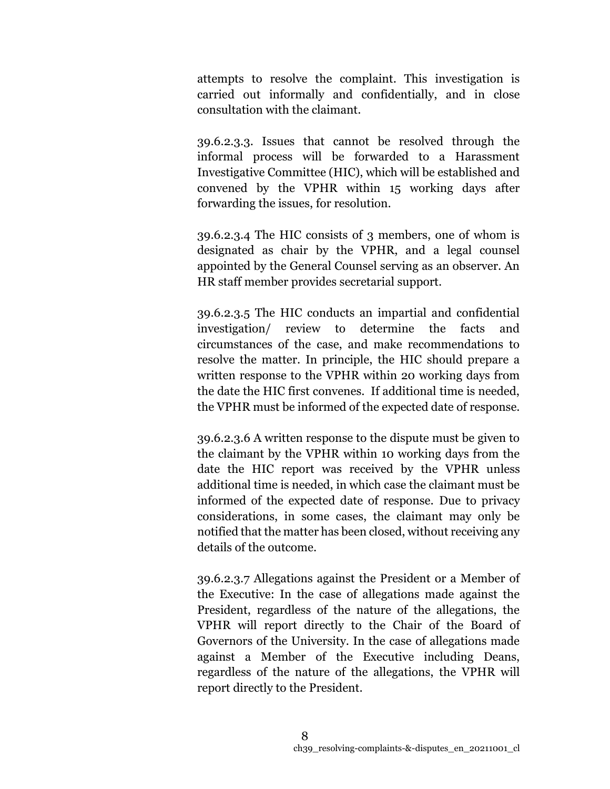attempts to resolve the complaint. This investigation is carried out informally and confidentially, and in close consultation with the claimant.

39.6.2.3.3. Issues that cannot be resolved through the informal process will be forwarded to a Harassment Investigative Committee (HIC), which will be established and convened by the VPHR within 15 working days after forwarding the issues, for resolution.

39.6.2.3.4 The HIC consists of 3 members, one of whom is designated as chair by the VPHR, and a legal counsel appointed by the General Counsel serving as an observer. An HR staff member provides secretarial support.

39.6.2.3.5 The HIC conducts an impartial and confidential investigation/ review to determine the facts and circumstances of the case, and make recommendations to resolve the matter. In principle, the HIC should prepare a written response to the VPHR within 20 working days from the date the HIC first convenes. If additional time is needed, the VPHR must be informed of the expected date of response.

39.6.2.3.6 A written response to the dispute must be given to the claimant by the VPHR within 10 working days from the date the HIC report was received by the VPHR unless additional time is needed, in which case the claimant must be informed of the expected date of response. Due to privacy considerations, in some cases, the claimant may only be notified that the matter has been closed, without receiving any details of the outcome.

39.6.2.3.7 Allegations against the President or a Member of the Executive: In the case of allegations made against the President, regardless of the nature of the allegations, the VPHR will report directly to the Chair of the Board of Governors of the University. In the case of allegations made against a Member of the Executive including Deans, regardless of the nature of the allegations, the VPHR will report directly to the President.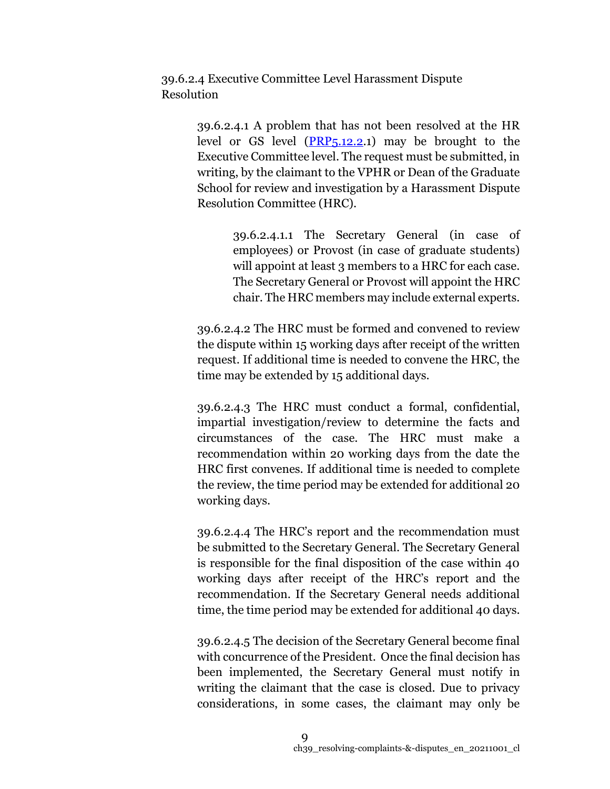39.6.2.4 Executive Committee Level Harassment Dispute Resolution

> 39.6.2.4.1 A problem that has not been resolved at the HR level or GS level [\(PRP5.12.2.](https://www.oist.jp/policy-library/5.12.2)1) may be brought to the Executive Committee level. The request must be submitted, in writing, by the claimant to the VPHR or Dean of the Graduate School for review and investigation by a Harassment Dispute Resolution Committee (HRC).

> > 39.6.2.4.1.1 The Secretary General (in case of employees) or Provost (in case of graduate students) will appoint at least 3 members to a HRC for each case. The Secretary General or Provost will appoint the HRC chair. The HRC members may include external experts.

39.6.2.4.2 The HRC must be formed and convened to review the dispute within 15 working days after receipt of the written request. If additional time is needed to convene the HRC, the time may be extended by 15 additional days.

39.6.2.4.3 The HRC must conduct a formal, confidential, impartial investigation/review to determine the facts and circumstances of the case. The HRC must make a recommendation within 20 working days from the date the HRC first convenes. If additional time is needed to complete the review, the time period may be extended for additional 20 working days.

39.6.2.4.4 The HRC's report and the recommendation must be submitted to the Secretary General. The Secretary General is responsible for the final disposition of the case within 40 working days after receipt of the HRC's report and the recommendation. If the Secretary General needs additional time, the time period may be extended for additional 40 days.

39.6.2.4.5 The decision of the Secretary General become final with concurrence of the President. Once the final decision has been implemented, the Secretary General must notify in writing the claimant that the case is closed. Due to privacy considerations, in some cases, the claimant may only be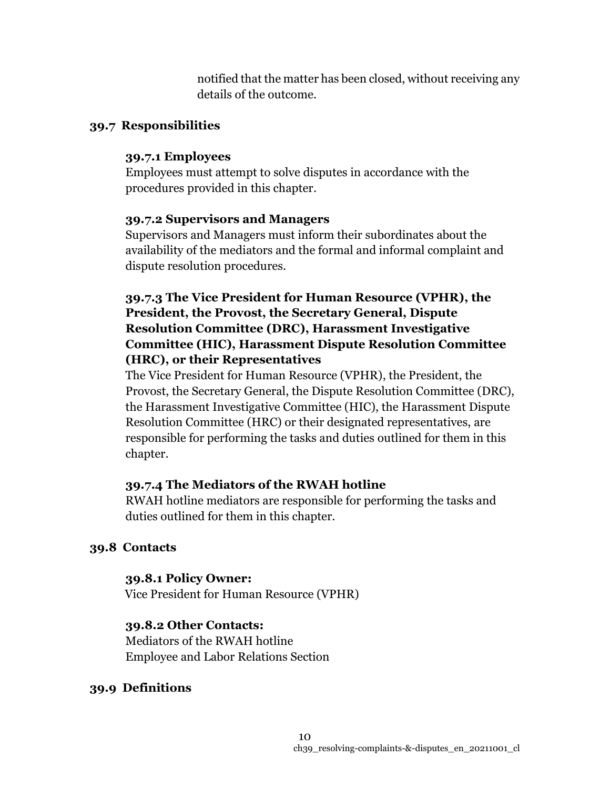notified that the matter has been closed, without receiving any details of the outcome.

## **39.7 Responsibilities**

## **39.7.1 Employees**

Employees must attempt to solve disputes in accordance with the procedures provided in this chapter.

## **39.7.2 Supervisors and Managers**

Supervisors and Managers must inform their subordinates about the availability of the mediators and the formal and informal complaint and dispute resolution procedures.

# **39.7.3 The Vice President for Human Resource (VPHR), the President, the Provost, the Secretary General, Dispute Resolution Committee (DRC), Harassment Investigative Committee (HIC), Harassment Dispute Resolution Committee (HRC), or their Representatives**

The Vice President for Human Resource (VPHR), the President, the Provost, the Secretary General, the Dispute Resolution Committee (DRC), the Harassment Investigative Committee (HIC), the Harassment Dispute Resolution Committee (HRC) or their designated representatives, are responsible for performing the tasks and duties outlined for them in this chapter.

# **39.7.4 The Mediators of the RWAH hotline**

RWAH hotline mediators are responsible for performing the tasks and duties outlined for them in this chapter.

# **39.8 Contacts**

# **39.8.1 Policy Owner:**

Vice President for Human Resource (VPHR)

# **39.8.2 Other Contacts:**

Mediators of the RWAH hotline Employee and Labor Relations Section

# **39.9 Definitions**